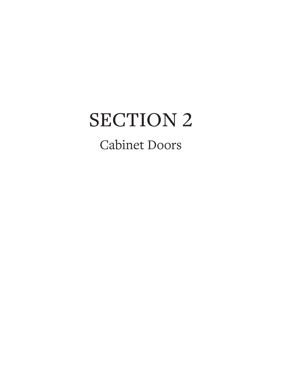# SECTION 2 Cabinet Doors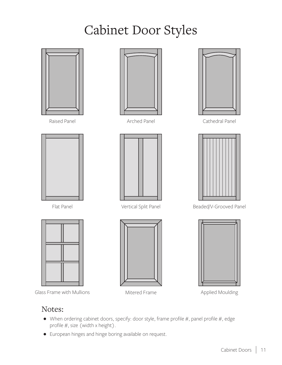# Cabinet Door Styles



#### Notes:

- $\bullet$  When ordering cabinet doors, specify: door style, frame profile #, panel profile #, edge profile  $#$ , size (width x height).
- European hinges and hinge boring available on request.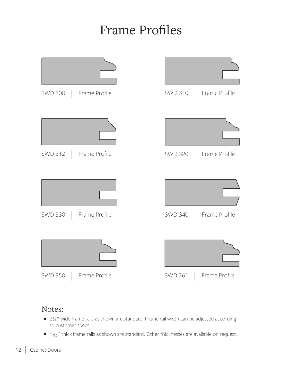### Frame Profiles



#### Notes:

- $\bullet$  2 $\frac{1}{4}$ " wide frame rails as shown are standard. Frame rail width can be adjusted according to customer specs.
- <sup>25</sup>/<sub>32</sub>" thick frame rails as shown are standard. Other thicknesses are available on request.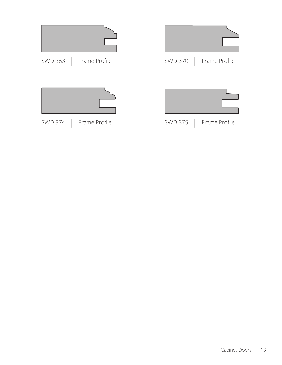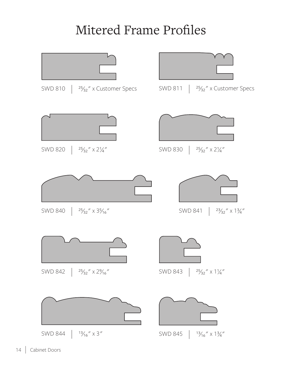# Mitered Frame Profiles

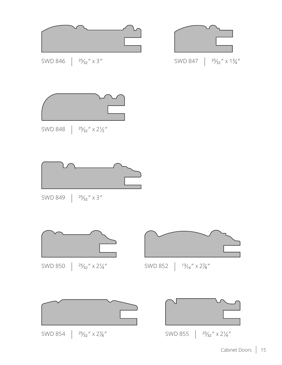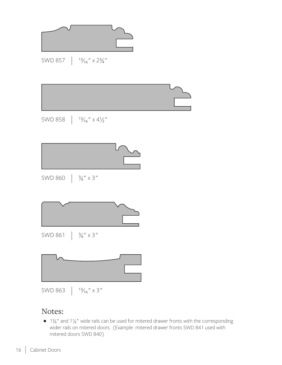

#### Notes:

 $\bullet$  1 $\frac{3}{4}$ " and 1 $\frac{1}{4}$ " wide rails can be used for mitered drawer fronts with the corresponding wider rails on mitered doors. (Example: mitered drawer fronts SWD 841 used with mitered doors SWD 840)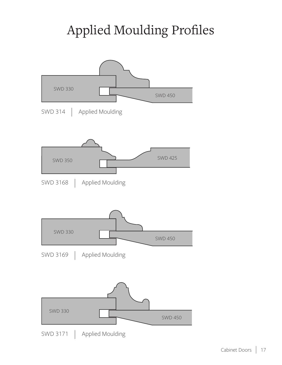# Applied Moulding Profiles

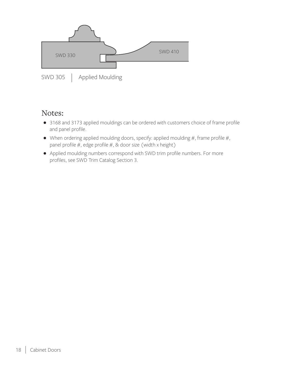

#### Notes:

- 3168 and 3173 applied mouldings can be ordered with customers choice of frame profile and panel profile.
- $\bullet$  When ordering applied moulding doors, specify: applied moulding #, frame profile #, panel profile  $#$ , edge profile  $#$ , & door size (width x height)
- Applied moulding numbers correspond with SWD trim profile numbers. For more profiles, see SWD Trim Catalog Section 3.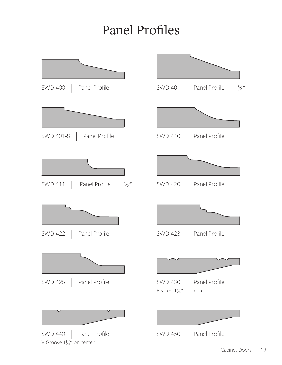# Panel Profiles

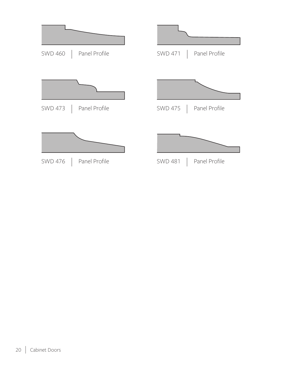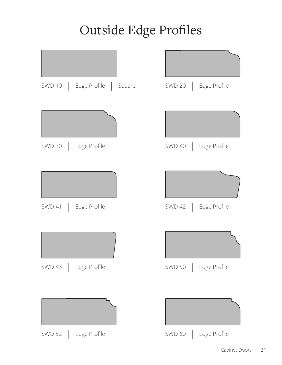# Outside Edge Profiles